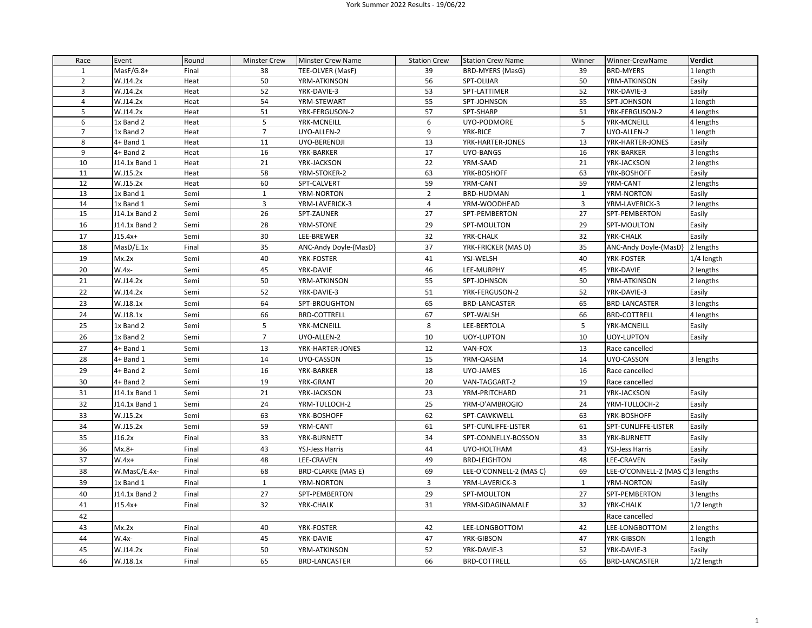## York Summer 2022 Results - 19/06/22

| Race           | Event                  | Round        | <b>Minster Crew</b> | Minster Crew Name            | <b>Station Crew</b> | <b>Station Crew Name</b>          | Winner             | Winner-CrewName                  | <b>Verdict</b>      |
|----------------|------------------------|--------------|---------------------|------------------------------|---------------------|-----------------------------------|--------------------|----------------------------------|---------------------|
| $\mathbf{1}$   | MasF/G.8+              | Final        | 38                  | TEE-OLVER (MasF)             | 39                  | BRD-MYERS (MasG)                  | 39                 | <b>BRD-MYERS</b>                 | 1 length            |
| $\overline{2}$ | W.J14.2x               | Heat         | 50                  | YRM-ATKINSON                 | 56                  | SPT-OLIJAR                        | 50                 | YRM-ATKINSON                     | Easily              |
| $\overline{3}$ | W.J14.2x               | Heat         | 52                  | YRK-DAVIE-3                  | 53                  | SPT-LATTIMER                      | 52                 | YRK-DAVIE-3                      | Easily              |
| $\overline{4}$ | W.J14.2x               | Heat         | 54                  | YRM-STEWART                  | 55                  | SPT-JOHNSON                       | 55                 | SPT-JOHNSON                      | 1 length            |
| 5              | W.J14.2x               | Heat         | 51                  | YRK-FERGUSON-2               | 57                  | SPT-SHARP                         | 51                 | YRK-FERGUSON-2                   | 4 lengths           |
| 6              | 1x Band 2              | Heat         | 5                   | YRK-MCNEILL                  | 6                   | UYO-PODMORE                       | 5                  | YRK-MCNEILL                      | 4 lengths           |
| $\overline{7}$ | 1x Band 2              | Heat         | $\overline{7}$      | UYO-ALLEN-2                  | 9                   | YRK-RICE                          | $\overline{7}$     | UYO-ALLEN-2                      | 1 length            |
| 8              | 4+ Band 1              | Heat         | 11                  | UYO-BERENDJI                 | 13                  | YRK-HARTER-JONES                  | 13                 | YRK-HARTER-JONES                 | Easily              |
| 9              | 4+ Band 2              | Heat         | 16                  | YRK-BARKER                   | 17                  | UYO-BANGS                         | 16                 | YRK-BARKER                       | 3 lengths           |
| 10             | J14.1x Band 1          | Heat         | 21                  | YRK-JACKSON                  | 22                  | YRM-SAAD                          | 21                 | YRK-JACKSON                      | 2 lengths           |
| 11             | W.J15.2x               | Heat         | 58                  | YRM-STOKER-2                 | 63                  | YRK-BOSHOFF                       | 63                 | YRK-BOSHOFF                      | Easily              |
| 12<br>13       | W.J15.2x               | Heat         | 60                  | SPT-CALVERT                  | 59                  | YRM-CANT                          | 59<br>$\mathbf{1}$ | YRM-CANT<br>YRM-NORTON           | 2 lengths           |
| 14             | 1x Band 1<br>1x Band 1 | Semi<br>Semi | $\mathbf{1}$<br>3   | YRM-NORTON<br>YRM-LAVERICK-3 | $\overline{2}$<br>4 | <b>BRD-HUDMAN</b><br>YRM-WOODHEAD | $\overline{3}$     | YRM-LAVERICK-3                   | Easily<br>2 lengths |
| 15             | J14.1x Band 2          | Semi         | 26                  | SPT-ZAUNER                   | 27                  | SPT-PEMBERTON                     | 27                 | SPT-PEMBERTON                    | Easily              |
| 16             |                        |              | 28                  |                              | 29                  |                                   | 29                 | SPT-MOULTON                      |                     |
|                | J14.1x Band 2          | Semi         |                     | YRM-STONE                    |                     | SPT-MOULTON                       |                    |                                  | Easily              |
| 17             | $J15.4x+$              | Semi         | 30                  | LEE-BREWER                   | 32                  | YRK-CHALK                         | 32                 | YRK-CHALK                        | Easily              |
| 18             | MasD/E.1x              | Final        | 35                  | ANC-Andy Doyle-(MasD)        | 37                  | YRK-FRICKER (MAS D)               | 35                 | ANC-Andy Doyle-(MasD)            | 2 lengths           |
| 19             | Mx.2x                  | Semi         | 40                  | YRK-FOSTER                   | 41                  | YSJ-WELSH                         | 40                 | YRK-FOSTER                       | 1/4 length          |
| 20             | W.4x-                  | Semi         | 45                  | YRK-DAVIE                    | 46                  | LEE-MURPHY                        | 45                 | YRK-DAVIE                        | 2 lengths           |
| 21             | W.J14.2x               | Semi         | 50                  | YRM-ATKINSON                 | 55                  | SPT-JOHNSON                       | 50                 | YRM-ATKINSON                     | 2 lengths           |
| 22             | W.J14.2x               | Semi         | 52                  | YRK-DAVIE-3                  | 51                  | YRK-FERGUSON-2                    | 52                 | YRK-DAVIE-3                      | Easily              |
| 23             | W.J18.1x               | Semi         | 64                  | SPT-BROUGHTON                | 65                  | <b>BRD-LANCASTER</b>              | 65                 | <b>BRD-LANCASTER</b>             | 3 lengths           |
| 24             | W.J18.1x               | Semi         | 66                  | <b>BRD-COTTRELL</b>          | 67                  | SPT-WALSH                         | 66                 | <b>BRD-COTTRELL</b>              | 4 lengths           |
| 25             | 1x Band 2              | Semi         | 5                   | YRK-MCNEILL                  | 8                   | LEE-BERTOLA                       | 5                  | YRK-MCNEILL                      | Easily              |
| 26             | 1x Band 2              | Semi         | $\overline{7}$      | UYO-ALLEN-2                  | 10                  | <b>UOY-LUPTON</b>                 | 10                 | <b>UOY-LUPTON</b>                | Easily              |
| 27             | 4+ Band 1              | Semi         | 13                  | YRK-HARTER-JONES             | 12                  | VAN-FOX                           | 13                 | Race cancelled                   |                     |
| 28             | $4+$ Band 1            | Semi         | 14                  | UYO-CASSON                   | 15                  | YRM-QASEM                         | 14                 | UYO-CASSON                       | 3 lengths           |
| 29             | 4+ Band 2              | Semi         | 16                  | YRK-BARKER                   | 18                  | UYO-JAMES                         | 16                 | Race cancelled                   |                     |
| 30             | 4+ Band 2              | Semi         | 19                  | YRK-GRANT                    | 20                  | VAN-TAGGART-2                     | 19                 | Race cancelled                   |                     |
| 31             | J14.1x Band 1          | Semi         | 21                  | YRK-JACKSON                  | 23                  | YRM-PRITCHARD                     | 21                 | YRK-JACKSON                      | Easily              |
| 32             | J14.1x Band 1          | Semi         | 24                  | YRM-TULLOCH-2                | 25                  | YRM-D'AMBROGIO                    | 24                 | YRM-TULLOCH-2                    | Easily              |
| 33             | W.J15.2x               | Semi         | 63                  | YRK-BOSHOFF                  | 62                  | SPT-CAWKWELL                      | 63                 | YRK-BOSHOFF                      | Easily              |
| 34             | W.J15.2x               | Semi         | 59                  | YRM-CANT                     | 61                  | SPT-CUNLIFFE-LISTER               | 61                 | SPT-CUNLIFFE-LISTER              | Easily              |
| 35             | J16.2x                 | Final        | 33                  | YRK-BURNETT                  | 34                  | SPT-CONNELLY-BOSSON               | 33                 | YRK-BURNETT                      | Easily              |
|                | $Mx.8+$                |              |                     |                              |                     |                                   |                    |                                  |                     |
| 36             |                        | Final        | 43                  | YSJ-Jess Harris              | 44                  | UYO-HOLTHAM                       | 43                 | YSJ-Jess Harris                  | Easily              |
| 37             | $W.4x+$                | Final        | 48                  | LEE-CRAVEN                   | 49                  | <b>BRD-LEIGHTON</b>               | 48                 | LEE-CRAVEN                       | Easily              |
| 38             | W.MasC/E.4x-           | Final        | 68                  | <b>BRD-CLARKE (MAS E)</b>    | 69                  | LEE-O'CONNELL-2 (MAS C)           | 69                 | LEE-O'CONNELL-2 (MAS C 3 lengths |                     |
| 39             | 1x Band 1              | Final        | $\mathbf{1}$        | YRM-NORTON                   | 3                   | YRM-LAVERICK-3                    | $\mathbf{1}$       | YRM-NORTON                       | Easily              |
| 40             | J14.1x Band 2          | Final        | 27                  | SPT-PEMBERTON                | 29                  | SPT-MOULTON                       | 27                 | SPT-PEMBERTON                    | 3 lengths           |
| 41             | $J15.4x+$              | Final        | 32                  | YRK-CHALK                    | 31                  | YRM-SIDAGINAMALE                  | 32                 | YRK-CHALK                        | 1/2 length          |
| 42             |                        |              |                     |                              |                     |                                   |                    | Race cancelled                   |                     |
| 43             | Mx.2x                  | Final        | 40                  | YRK-FOSTER                   | 42                  | LEE-LONGBOTTOM                    | 42                 | LEE-LONGBOTTOM                   | 2 lengths           |
| 44             | W.4x-                  | Final        | 45                  | YRK-DAVIE                    | 47                  | YRK-GIBSON                        | 47                 | YRK-GIBSON                       | 1 length            |
| 45             | W.J14.2x               | Final        | 50                  | YRM-ATKINSON                 | 52                  | YRK-DAVIE-3                       | 52                 | YRK-DAVIE-3                      | Easily              |
| 46             | W.J18.1x               | Final        | 65                  | <b>BRD-LANCASTER</b>         | 66                  | <b>BRD-COTTRELL</b>               | 65                 | <b>BRD-LANCASTER</b>             | 1/2 length          |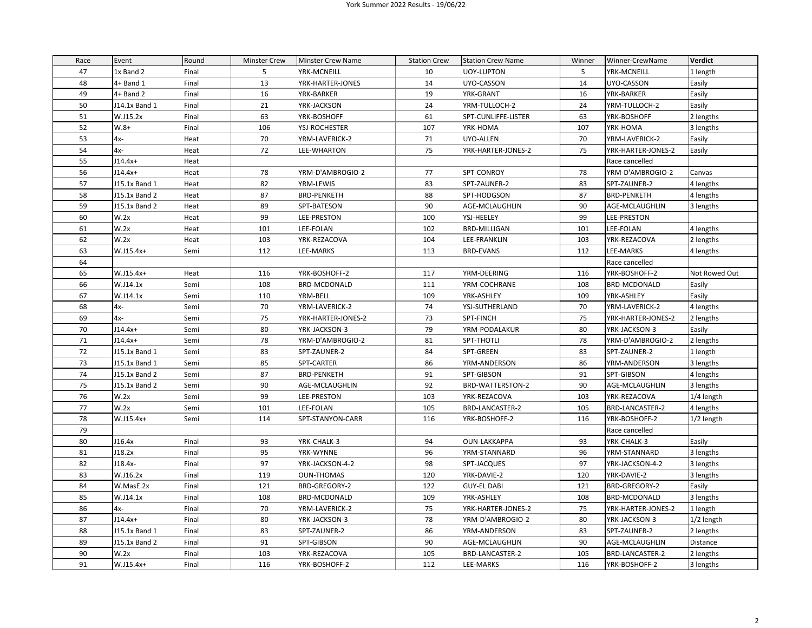## York Summer 2022 Results - 19/06/22

| Race | Event         | Round | <b>Minster Crew</b> | <b>Minster Crew Name</b> | <b>Station Crew</b> | <b>Station Crew Name</b> | Winner | Winner-CrewName    | <b>Verdict</b> |
|------|---------------|-------|---------------------|--------------------------|---------------------|--------------------------|--------|--------------------|----------------|
| 47   | 1x Band 2     | Final | 5                   | YRK-MCNEILL              | 10                  | <b>UOY-LUPTON</b>        | 5      | YRK-MCNEILL        | 1 length       |
| 48   | $4+$ Band 1   | Final | 13                  | YRK-HARTER-JONES         | 14                  | UYO-CASSON               | 14     | UYO-CASSON         | Easily         |
| 49   | $4+$ Band 2   | Final | 16                  | YRK-BARKER               | 19                  | YRK-GRANT                | 16     | YRK-BARKER         | Easily         |
| 50   | J14.1x Band 1 | Final | 21                  | YRK-JACKSON              | 24                  | YRM-TULLOCH-2            | 24     | YRM-TULLOCH-2      | Easily         |
| 51   | W.J15.2x      | Final | 63                  | YRK-BOSHOFF              | 61                  | SPT-CUNLIFFE-LISTER      | 63     | YRK-BOSHOFF        | 2 lengths      |
| 52   | $W.8+$        | Final | 106                 | YSJ-ROCHESTER            | 107                 | YRK-HOMA                 | 107    | YRK-HOMA           | 3 lengths      |
| 53   | $4x-$         | Heat  | 70                  | YRM-LAVERICK-2           | 71                  | UYO-ALLEN                | 70     | YRM-LAVERICK-2     | Easily         |
| 54   | 4x-           | Heat  | 72                  | LEE-WHARTON              | 75                  | YRK-HARTER-JONES-2       | 75     | YRK-HARTER-JONES-2 | Easily         |
| 55   | $J14.4x+$     | Heat  |                     |                          |                     |                          |        | Race cancelled     |                |
| 56   | $J14.4x+$     | Heat  | 78                  | YRM-D'AMBROGIO-2         | 77                  | SPT-CONROY               | 78     | YRM-D'AMBROGIO-2   | Canvas         |
| 57   | J15.1x Band 1 | Heat  | 82                  | YRM-LEWIS                | 83                  | SPT-ZAUNER-2             | 83     | SPT-ZAUNER-2       | 4 lengths      |
| 58   | J15.1x Band 2 | Heat  | 87                  | <b>BRD-PENKETH</b>       | 88                  | SPT-HODGSON              | 87     | <b>BRD-PENKETH</b> | 4 lengths      |
| 59   | J15.1x Band 2 | Heat  | 89                  | SPT-BATESON              | 90                  | AGE-MCLAUGHLIN           | 90     | AGE-MCLAUGHLIN     | 3 lengths      |
| 60   | W.2x          | Heat  | 99                  | LEE-PRESTON              | 100                 | YSJ-HEELEY               | 99     | LEE-PRESTON        |                |
| 61   | W.2x          | Heat  | 101                 | LEE-FOLAN                | 102                 | <b>BRD-MILLIGAN</b>      | 101    | LEE-FOLAN          | 4 lengths      |
| 62   | W.2x          | Heat  | 103                 | YRK-REZACOVA             | 104                 | LEE-FRANKLIN             | 103    | YRK-REZACOVA       | 2 lengths      |
| 63   | W.J15.4x+     | Semi  | 112                 | LEE-MARKS                | 113                 | <b>BRD-EVANS</b>         | 112    | LEE-MARKS          | 4 lengths      |
| 64   |               |       |                     |                          |                     |                          |        | Race cancelled     |                |
| 65   | W.J15.4x+     | Heat  | 116                 | YRK-BOSHOFF-2            | 117                 | YRM-DEERING              | 116    | YRK-BOSHOFF-2      | Not Rowed Out  |
| 66   | W.J14.1x      | Semi  | 108                 | BRD-MCDONALD             | 111                 | YRM-COCHRANE             | 108    | BRD-MCDONALD       | Easily         |
| 67   | W.J14.1x      | Semi  | 110                 | YRM-BELL                 | 109                 | YRK-ASHLEY               | 109    | YRK-ASHLEY         | Easily         |
| 68   | $4x-$         | Semi  | 70                  | YRM-LAVERICK-2           | 74                  | YSJ-SUTHERLAND           | 70     | YRM-LAVERICK-2     | 4 lengths      |
| 69   | $4x-$         | Semi  | 75                  | YRK-HARTER-JONES-2       | 73                  | SPT-FINCH                | 75     | YRK-HARTER-JONES-2 | 2 lengths      |
| 70   | $J14.4x+$     | Semi  | 80                  | YRK-JACKSON-3            | 79                  | YRM-PODALAKUR            | 80     | YRK-JACKSON-3      | Easily         |
| 71   | $J14.4x+$     | Semi  | 78                  | YRM-D'AMBROGIO-2         | 81                  | SPT-THOTLI               | 78     | YRM-D'AMBROGIO-2   | 2 lengths      |
| 72   | J15.1x Band 1 | Semi  | 83                  | SPT-ZAUNER-2             | 84                  | SPT-GREEN                | 83     | SPT-ZAUNER-2       | 1 length       |
| 73   | J15.1x Band 1 | Semi  | 85                  | SPT-CARTER               | 86                  | YRM-ANDERSON             | 86     | YRM-ANDERSON       | 3 lengths      |
| 74   | J15.1x Band 2 | Semi  | 87                  | <b>BRD-PENKETH</b>       | 91                  | SPT-GIBSON               | 91     | SPT-GIBSON         | 4 lengths      |
| 75   | J15.1x Band 2 | Semi  | 90                  | AGE-MCLAUGHLIN           | 92                  | BRD-WATTERSTON-2         | 90     | AGE-MCLAUGHLIN     | 3 lengths      |
| 76   | W.2x          | Semi  | 99                  | LEE-PRESTON              | 103                 | YRK-REZACOVA             | 103    | YRK-REZACOVA       | 1/4 length     |
| 77   | W.2x          | Semi  | 101                 | LEE-FOLAN                | 105                 | BRD-LANCASTER-2          | 105    | BRD-LANCASTER-2    | 4 lengths      |
| 78   | W.J15.4x+     | Semi  | 114                 | SPT-STANYON-CARR         | 116                 | YRK-BOSHOFF-2            | 116    | YRK-BOSHOFF-2      | 1/2 length     |
| 79   |               |       |                     |                          |                     |                          |        | Race cancelled     |                |
| 80   | J16.4x-       | Final | 93                  | YRK-CHALK-3              | 94                  | OUN-LAKKAPPA             | 93     | YRK-CHALK-3        | Easily         |
| 81   | J18.2x        | Final | 95                  | YRK-WYNNE                | 96                  | YRM-STANNARD             | 96     | YRM-STANNARD       | 3 lengths      |
| 82   | $J18.4x-$     | Final | 97                  | YRK-JACKSON-4-2          | 98                  | SPT-JACQUES              | 97     | YRK-JACKSON-4-2    | 3 lengths      |
| 83   | W.J16.2x      | Final | 119                 | <b>OUN-THOMAS</b>        | 120                 | YRK-DAVIE-2              | 120    | YRK-DAVIE-2        | 3 lengths      |
| 84   | W.MasE.2x     | Final | 121                 | BRD-GREGORY-2            | 122                 | <b>GUY-EL DABI</b>       | 121    | BRD-GREGORY-2      | Easily         |
| 85   | W.J14.1x      | Final | 108                 | <b>BRD-MCDONALD</b>      | 109                 | YRK-ASHLEY               | 108    | BRD-MCDONALD       | 3 lengths      |
| 86   | 4x-           | Final | 70                  | YRM-LAVERICK-2           | 75                  | YRK-HARTER-JONES-2       | 75     | YRK-HARTER-JONES-2 | 1 length       |
| 87   | $J14.4x+$     | Final | 80                  | YRK-JACKSON-3            | 78                  | YRM-D'AMBROGIO-2         | 80     | YRK-JACKSON-3      | 1/2 length     |
| 88   | J15.1x Band 1 | Final | 83                  | SPT-ZAUNER-2             | 86                  | YRM-ANDERSON             | 83     | SPT-ZAUNER-2       | 2 lengths      |
| 89   | J15.1x Band 2 | Final | 91                  | SPT-GIBSON               | 90                  | AGE-MCLAUGHLIN           | 90     | AGE-MCLAUGHLIN     | Distance       |
| 90   | W.2x          | Final | 103                 | YRK-REZACOVA             | 105                 | BRD-LANCASTER-2          | 105    | BRD-LANCASTER-2    | 2 lengths      |
| 91   | W.J15.4x+     | Final | 116                 | YRK-BOSHOFF-2            | 112                 | LEE-MARKS                | 116    | YRK-BOSHOFF-2      | 3 lengths      |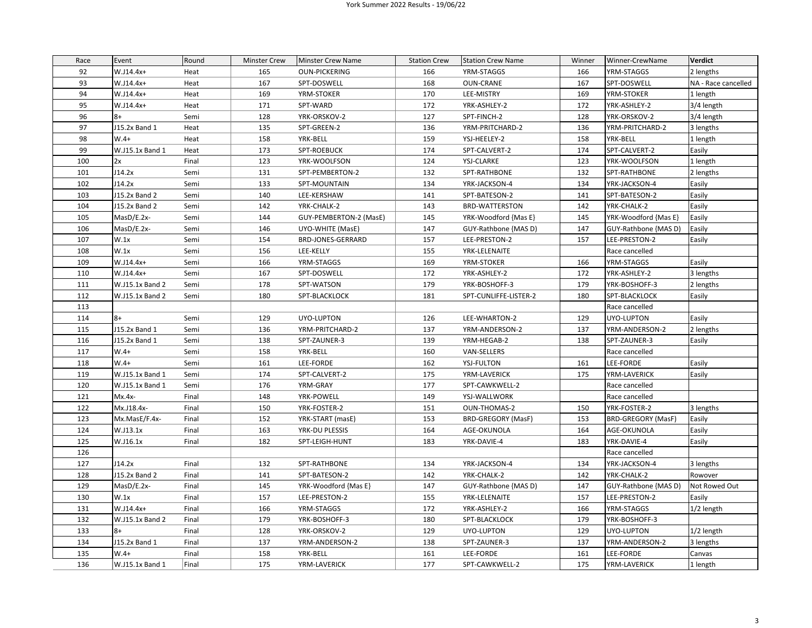## York Summer 2022 Results - 19/06/22

| Race | Event           | Round | <b>Minster Crew</b> | <b>Minster Crew Name</b> | <b>Station Crew</b> | <b>Station Crew Name</b> | Winner | Winner-CrewName      | <b>Verdict</b>      |
|------|-----------------|-------|---------------------|--------------------------|---------------------|--------------------------|--------|----------------------|---------------------|
| 92   | W.J14.4x+       | Heat  | 165                 | <b>OUN-PICKERING</b>     | 166                 | YRM-STAGGS               | 166    | YRM-STAGGS           | 2 lengths           |
| 93   | W.J14.4x+       | Heat  | 167                 | SPT-DOSWELL              | 168                 | <b>OUN-CRANE</b>         | 167    | SPT-DOSWELL          | NA - Race cancelled |
| 94   | W.J14.4x+       | Heat  | 169                 | YRM-STOKER               | 170                 | LEE-MISTRY               | 169    | YRM-STOKER           | 1 length            |
| 95   | W.J14.4x+       | Heat  | 171                 | SPT-WARD                 | 172                 | YRK-ASHLEY-2             | 172    | YRK-ASHLEY-2         | 3/4 length          |
| 96   | $8+$            | Semi  | 128                 | YRK-ORSKOV-2             | 127                 | SPT-FINCH-2              | 128    | YRK-ORSKOV-2         | 3/4 length          |
| 97   | J15.2x Band 1   | Heat  | 135                 | SPT-GREEN-2              | 136                 | YRM-PRITCHARD-2          | 136    | YRM-PRITCHARD-2      | 3 lengths           |
| 98   | $W.4+$          | Heat  | 158                 | YRK-BELL                 | 159                 | YSJ-HEELEY-2             | 158    | YRK-BELL             | 1 length            |
| 99   | W.J15.1x Band 1 | Heat  | 173                 | SPT-ROEBUCK              | 174                 | SPT-CALVERT-2            | 174    | SPT-CALVERT-2        | Easily              |
| 100  | 2x              | Final | 123                 | YRK-WOOLFSON             | 124                 | YSJ-CLARKE               | 123    | YRK-WOOLFSON         | 1 length            |
| 101  | J14.2x          | Semi  | 131                 | SPT-PEMBERTON-2          | 132                 | SPT-RATHBONE             | 132    | SPT-RATHBONE         | 2 lengths           |
| 102  | J14.2x          | Semi  | 133                 | SPT-MOUNTAIN             | 134                 | YRK-JACKSON-4            | 134    | YRK-JACKSON-4        | Easily              |
| 103  | J15.2x Band 2   | Semi  | 140                 | LEE-KERSHAW              | 141                 | SPT-BATESON-2            | 141    | SPT-BATESON-2        | Easily              |
| 104  | J15.2x Band 2   | Semi  | 142                 | YRK-CHALK-2              | 143                 | <b>BRD-WATTERSTON</b>    | 142    | YRK-CHALK-2          | Easily              |
| 105  | MasD/E.2x-      | Semi  | 144                 | GUY-PEMBERTON-2 (MasE)   | 145                 | YRK-Woodford {Mas E}     | 145    | YRK-Woodford {Mas E} | Easily              |
| 106  | MasD/E.2x-      | Semi  | 146                 | UYO-WHITE (MasE)         | 147                 | GUY-Rathbone {MAS D)     | 147    | GUY-Rathbone {MAS D) | Easily              |
| 107  | W.1x            | Semi  | 154                 | BRD-JONES-GERRARD        | 157                 | LEE-PRESTON-2            | 157    | LEE-PRESTON-2        | Easily              |
| 108  | W.1x            | Semi  | 156                 | LEE-KELLY                | 155                 | YRK-LELENAITE            |        | Race cancelled       |                     |
| 109  | W.J14.4x+       | Semi  | 166                 | YRM-STAGGS               | 169                 | YRM-STOKER               | 166    | YRM-STAGGS           | Easily              |
| 110  | $W.J14.4x+$     | Semi  | 167                 | SPT-DOSWELL              | 172                 | YRK-ASHLEY-2             | 172    | YRK-ASHLEY-2         | 3 lengths           |
| 111  | W.J15.1x Band 2 | Semi  | 178                 | SPT-WATSON               | 179                 | YRK-BOSHOFF-3            | 179    | YRK-BOSHOFF-3        | 2 lengths           |
| 112  | W.J15.1x Band 2 | Semi  | 180                 | SPT-BLACKLOCK            | 181                 | SPT-CUNLIFFE-LISTER-2    | 180    | SPT-BLACKLOCK        | Easily              |
| 113  |                 |       |                     |                          |                     |                          |        | Race cancelled       |                     |
| 114  | $8+$            | Semi  | 129                 | UYO-LUPTON               | 126                 | LEE-WHARTON-2            | 129    | UYO-LUPTON           | Easily              |
| 115  | J15.2x Band 1   | Semi  | 136                 | YRM-PRITCHARD-2          | 137                 | YRM-ANDERSON-2           | 137    | YRM-ANDERSON-2       | 2 lengths           |
| 116  | J15.2x Band 1   | Semi  | 138                 | SPT-ZAUNER-3             | 139                 | YRM-HEGAB-2              | 138    | SPT-ZAUNER-3         | Easily              |
| 117  | $W.4+$          | Semi  | 158                 | YRK-BELL                 | 160                 | VAN-SELLERS              |        | Race cancelled       |                     |
| 118  | $W.4+$          | Semi  | 161                 | LEE-FORDE                | 162                 | <b>YSJ-FULTON</b>        | 161    | LEE-FORDE            | Easily              |
| 119  | W.J15.1x Band 1 | Semi  | 174                 | SPT-CALVERT-2            | 175                 | YRM-LAVERICK             | 175    | YRM-LAVERICK         | Easily              |
| 120  | W.J15.1x Band 1 | Semi  | 176                 | YRM-GRAY                 | 177                 | SPT-CAWKWELL-2           |        | Race cancelled       |                     |
| 121  | $Mx.4x-$        | Final | 148                 | YRK-POWELL               | 149                 | YSJ-WALLWORK             |        | Race cancelled       |                     |
| 122  | Mx.J18.4x-      | Final | 150                 | YRK-FOSTER-2             | 151                 | OUN-THOMAS-2             | 150    | YRK-FOSTER-2         | 3 lengths           |
| 123  | Mx.MasE/F.4x-   | Final | 152                 | YRK-START (masE)         | 153                 | BRD-GREGORY (MasF)       | 153    | BRD-GREGORY (MasF)   | Easily              |
| 124  | W.J13.1x        | Final | 163                 | YRK-DU PLESSIS           | 164                 | AGE-OKUNOLA              | 164    | AGE-OKUNOLA          | Easily              |
| 125  | W.J16.1x        | Final | 182                 | SPT-LEIGH-HUNT           | 183                 | YRK-DAVIE-4              | 183    | YRK-DAVIE-4          | Easily              |
| 126  |                 |       |                     |                          |                     |                          |        | Race cancelled       |                     |
| 127  | J14.2x          | Final | 132                 | SPT-RATHBONE             | 134                 | YRK-JACKSON-4            | 134    | YRK-JACKSON-4        | 3 lengths           |
| 128  | J15.2x Band 2   | Final | 141                 | SPT-BATESON-2            | 142                 | YRK-CHALK-2              | 142    | YRK-CHALK-2          | Rowover             |
| 129  | MasD/E.2x-      | Final | 145                 | YRK-Woodford {Mas E}     | 147                 | GUY-Rathbone {MAS D)     | 147    | GUY-Rathbone {MAS D) | Not Rowed Out       |
| 130  | W.1x            | Final | 157                 | LEE-PRESTON-2            | 155                 | YRK-LELENAITE            | 157    | LEE-PRESTON-2        | Easily              |
| 131  | W.J14.4x+       | Final | 166                 | YRM-STAGGS               | 172                 | YRK-ASHLEY-2             | 166    | YRM-STAGGS           | 1/2 length          |
| 132  | W.J15.1x Band 2 | Final | 179                 | YRK-BOSHOFF-3            | 180                 | SPT-BLACKLOCK            | 179    | YRK-BOSHOFF-3        |                     |
| 133  | $8+$            | Final | 128                 | YRK-ORSKOV-2             | 129                 | UYO-LUPTON               | 129    | UYO-LUPTON           | 1/2 length          |
| 134  | J15.2x Band 1   | Final | 137                 | YRM-ANDERSON-2           | 138                 | SPT-ZAUNER-3             | 137    | YRM-ANDERSON-2       | 3 lengths           |
| 135  | $W.4+$          | Final | 158                 | YRK-BELL                 | 161                 | LEE-FORDE                | 161    | LEE-FORDE            | Canvas              |
| 136  | W.J15.1x Band 1 | Final | 175                 | YRM-LAVERICK             | 177                 | SPT-CAWKWELL-2           | 175    | YRM-LAVERICK         | 1 length            |